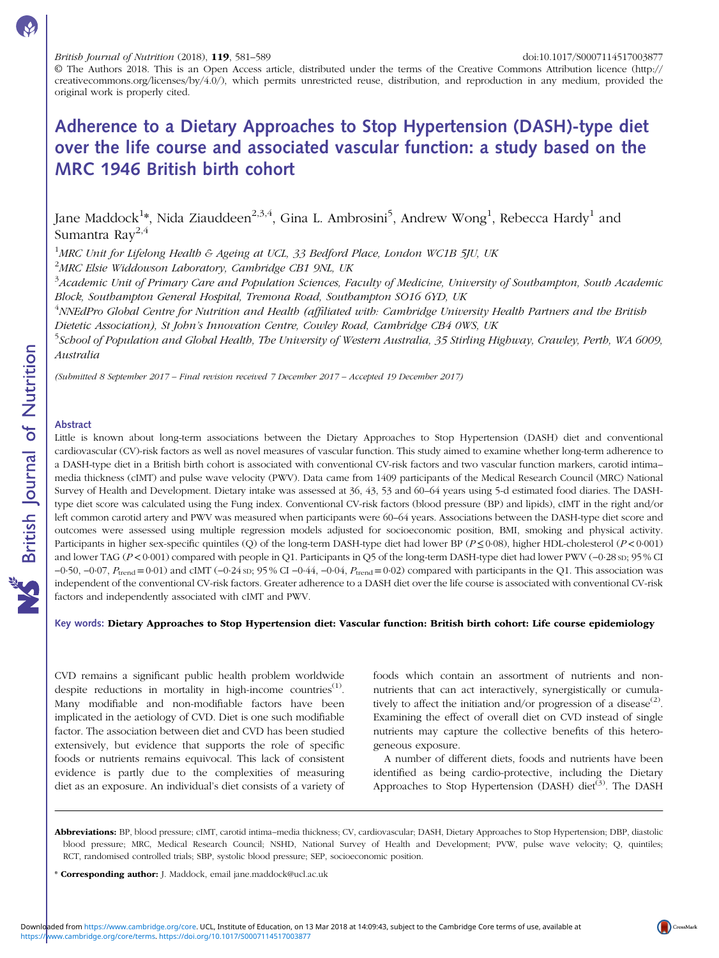© The Authors 2018. This is an Open Access article, distributed under the terms of the Creative Commons Attribution licence (http:// creativecommons.org/licenses/by/4.0/), which permits unrestricted reuse, distribution, and reproduction in any medium, provided the original work is properly cited.

# Adherence to a Dietary Approaches to Stop Hypertension (DASH)-type diet over the life course and associated vascular function: a study based on the MRC 1946 British birth cohort

Jane Maddock $^{1*}$ , Nida Ziauddeen $^{2,3,4}$ , Gina L. Ambrosini $^5$ , Andrew Wong $^1$ , Rebecca Hardy $^1$  and Sumantra Ray<sup>2,4</sup>

 $^{1}$ MRC Unit for Lifelong Health & Ageing at UCL, 33 Bedford Place, London WC1B 5JU, UK

<sup>2</sup>MRC Elsie Widdowson Laboratory, Cambridge CB1 9NL, UK

 $^3$ Academic Unit of Primary Care and Population Sciences, Faculty of Medicine, University of Southampton, South Academic Block, Southampton General Hospital, Tremona Road, Southampton SO16 6YD, UK

 $^4$ NNEdPro Global Centre for Nutrition and Health (affiliated with: Cambridge University Health Partners and the British Dietetic Association), St John's Innovation Centre, Cowley Road, Cambridge CB4 0WS, UK

<sup>5</sup>School of Population and Global Health, The University of Western Australia, 35 Stirling Highway, Crawley, Perth, WA 6009, Australia

(Submitted 8 September 2017 – Final revision received 7 December 2017 – Accepted 19 December 2017)

# Abstract

Little is known about long-term associations between the Dietary Approaches to Stop Hypertension (DASH) diet and conventional cardiovascular (CV)-risk factors as well as novel measures of vascular function. This study aimed to examine whether long-term adherence to a DASH-type diet in a British birth cohort is associated with conventional CV-risk factors and two vascular function markers, carotid intima– media thickness (cIMT) and pulse wave velocity (PWV). Data came from 1409 participants of the Medical Research Council (MRC) National Survey of Health and Development. Dietary intake was assessed at 36, 43, 53 and 60–64 years using 5-d estimated food diaries. The DASHtype diet score was calculated using the Fung index. Conventional CV-risk factors (blood pressure (BP) and lipids), cIMT in the right and/or left common carotid artery and PWV was measured when participants were 60–64 years. Associations between the DASH-type diet score and outcomes were assessed using multiple regression models adjusted for socioeconomic position, BMI, smoking and physical activity. Participants in higher sex-specific quintiles (Q) of the long-term DASH-type diet had lower BP (P≤0·08), higher HDL-cholesterol (P<0·001) and lower TAG (P<0·001) compared with people in Q1. Participants in Q5 of the long-term DASH-type diet had lower PWV (−0·28 sp; 95 % CI −0·50, −0·07, Ptrend=0·01) and cIMT (−0·24 SD; 95 % CI −0·44, −0·04, Ptrend=0·02) compared with participants in the Q1. This association was independent of the conventional CV-risk factors. Greater adherence to a DASH diet over the life course is associated with conventional CV-risk factors and independently associated with cIMT and PWV.

# Key words: Dietary Approaches to Stop Hypertension diet: Vascular function: British birth cohort: Life course epidemiology

CVD remains a significant public health problem worldwide despite reductions in mortality in high-income countries<sup> $(1)$ </sup>. Many modifiable and non-modifiable factors have been implicated in the aetiology of CVD. Diet is one such modifiable factor. The association between diet and CVD has been studied extensively, but evidence that supports the role of specific foods or nutrients remains equivocal. This lack of consistent evidence is partly due to the complexities of measuring diet as an exposure. An individual's diet consists of a variety of foods which contain an assortment of nutrients and nonnutrients that can act interactively, synergistically or cumula-tively to affect the initiation and/or progression of a disease<sup>[\(2\)](#page-7-0)</sup>. Examining the effect of overall diet on CVD instead of single nutrients may capture the collective benefits of this heterogeneous exposure.

A number of different diets, foods and nutrients have been identified as being cardio-protective, including the Dietary Approaches to Stop Hypertension (DASH) diet<sup>([3](#page-7-0))</sup>. The DASH

- Abbreviations: BP, blood pressure; cIMT, carotid intima–media thickness; CV, cardiovascular; DASH, Dietary Approaches to Stop Hypertension; DBP, diastolic blood pressure; MRC, Medical Research Council; NSHD, National Survey of Health and Development; PVW, pulse wave velocity; Q, quintiles; RCT, randomised controlled trials; SBP, systolic blood pressure; SEP, socioeconomic position.
- \* Corresponding author: J. Maddock, email [jane.maddock@ucl.ac.uk](mailto:jane.maddock@ucl.ac.uk)

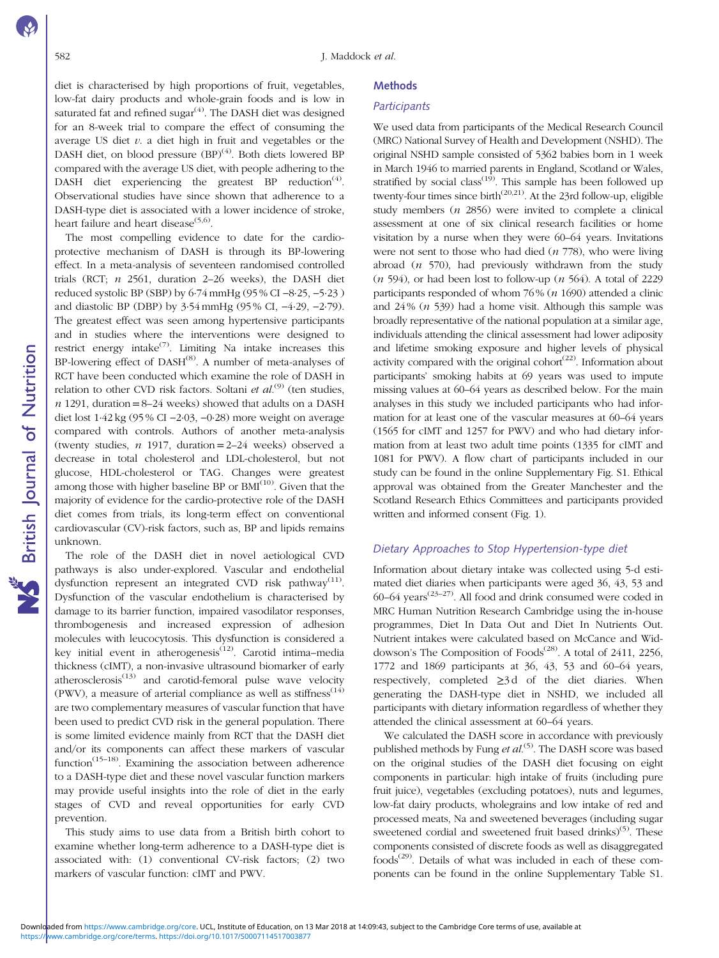diet is characterised by high proportions of fruit, vegetables, low-fat dairy products and whole-grain foods and is low in saturated fat and refined sugar $^{(4)}$  $^{(4)}$  $^{(4)}$ . The DASH diet was designed for an 8-week trial to compare the effect of consuming the average US diet  $v$ . a diet high in fruit and vegetables or the DASH diet, on blood pressure  $(BP)^{(4)}$  $(BP)^{(4)}$  $(BP)^{(4)}$ . Both diets lowered BP compared with the average US diet, with people adhering to the DASH diet experiencing the greatest BP reduction<sup> $(4)$ </sup>. Observational studies have since shown that adherence to a DASH-type diet is associated with a lower incidence of stroke, heart failure and heart disease<sup>([5,6\)](#page-7-0)</sup>.

The most compelling evidence to date for the cardioprotective mechanism of DASH is through its BP-lowering effect. In a meta-analysis of seventeen randomised controlled trials (RCT;  $n$  2561, duration 2-26 weeks), the DASH diet reduced systolic BP (SBP) by 6·74 mmHg (95 % CI −8·25, −5·23 ) and diastolic BP (DBP) by 3·54 mmHg (95 % CI, −4·29, −2·79). The greatest effect was seen among hypertensive participants and in studies where the interventions were designed to restrict energy intake $(7)$  $(7)$ . Limiting Na intake increases this BP-lowering effect of  $DASH^{(8)}$  $DASH^{(8)}$  $DASH^{(8)}$ . A number of meta-analyses of RCT have been conducted which examine the role of DASH in relation to other CVD risk factors. Soltani et  $al^{(9)}$  $al^{(9)}$  $al^{(9)}$  (ten studies,  $n$  1291, duration = 8–24 weeks) showed that adults on a DASH diet lost  $1.42 \text{ kg}$  (95 % CI –2 $0.03$ , –0 $0.28$ ) more weight on average compared with controls. Authors of another meta-analysis (twenty studies,  $n$  1917, duration = 2–24 weeks) observed a decrease in total cholesterol and LDL-cholesterol, but not glucose, HDL-cholesterol or TAG. Changes were greatest among those with higher baseline BP or  $BMI^{(10)}$  $BMI^{(10)}$  $BMI^{(10)}$ . Given that the majority of evidence for the cardio-protective role of the DASH diet comes from trials, its long-term effect on conventional cardiovascular (CV)-risk factors, such as, BP and lipids remains unknown.

The role of the DASH diet in novel aetiological CVD pathways is also under-explored. Vascular and endothelial dysfunction represent an integrated CVD risk pathway<sup>[\(11\)](#page-8-0)</sup>. Dysfunction of the vascular endothelium is characterised by damage to its barrier function, impaired vasodilator responses, thrombogenesis and increased expression of adhesion molecules with leucocytosis. This dysfunction is considered a key initial event in atherogenesis<sup>[\(12](#page-8-0))</sup>. Carotid intima-media thickness (cIMT), a non-invasive ultrasound biomarker of early atherosclerosis $^{(13)}$  $^{(13)}$  $^{(13)}$  and carotid-femoral pulse wave velocity (PWV), a measure of arterial compliance as well as stiffness<sup> $(14)$  $(14)$ </sup> are two complementary measures of vascular function that have been used to predict CVD risk in the general population. There is some limited evidence mainly from RCT that the DASH diet and/or its components can affect these markers of vascular function<sup>([15](#page-8-0)–[18\)](#page-8-0)</sup>. Examining the association between adherence to a DASH-type diet and these novel vascular function markers may provide useful insights into the role of diet in the early stages of CVD and reveal opportunities for early CVD prevention.

This study aims to use data from a British birth cohort to examine whether long-term adherence to a DASH-type diet is associated with: (1) conventional CV-risk factors; (2) two markers of vascular function: cIMT and PWV.

### **Methods**

## **Participants**

We used data from participants of the Medical Research Council (MRC) National Survey of Health and Development (NSHD). The original NSHD sample consisted of 5362 babies born in 1 week in March 1946 to married parents in England, Scotland or Wales, stratified by social class<sup> $(19)$ </sup>. This sample has been followed up twenty-four times since birth<sup> $(20,21)$  $(20,21)$ </sup>. At the 23rd follow-up, eligible study members  $(n \t2856)$  were invited to complete a clinical assessment at one of six clinical research facilities or home visitation by a nurse when they were 60–64 years. Invitations were not sent to those who had died  $(n 778)$ , who were living abroad ( $n$  570), had previously withdrawn from the study  $(n 594)$ , or had been lost to follow-up  $(n 564)$ . A total of 2229 participants responded of whom  $76\%$  ( $n$  1690) attended a clinic and  $24\%$  ( $n$  539) had a home visit. Although this sample was broadly representative of the national population at a similar age, individuals attending the clinical assessment had lower adiposity and lifetime smoking exposure and higher levels of physical activity compared with the original cohort<sup> $(22)$ </sup>. Information about participants' smoking habits at 69 years was used to impute missing values at 60–64 years as described below. For the main analyses in this study we included participants who had information for at least one of the vascular measures at 60–64 years (1565 for cIMT and 1257 for PWV) and who had dietary information from at least two adult time points (1335 for cIMT and 1081 for PWV). A flow chart of participants included in our study can be found in the online Supplementary Fig. S1. Ethical approval was obtained from the Greater Manchester and the Scotland Research Ethics Committees and participants provided written and informed consent ([Fig. 1](#page-2-0)).

# Dietary Approaches to Stop Hypertension-type diet

Information about dietary intake was collected using 5-d estimated diet diaries when participants were aged 36, 43, 53 and 60–64 years<sup> $(23–27)$  $(23–27)$  $(23–27)$  $(23–27)$  $(23–27)$ </sup>. All food and drink consumed were coded in MRC Human Nutrition Research Cambridge using the in-house programmes, Diet In Data Out and Diet In Nutrients Out. Nutrient intakes were calculated based on McCance and Widdowson's The Composition of Foods<sup> $(28)$ </sup>. A total of 2411, 2256, 1772 and 1869 participants at 36, 43, 53 and 60–64 years, respectively, completed  $\geq$ 3 d of the diet diaries. When generating the DASH-type diet in NSHD, we included all participants with dietary information regardless of whether they attended the clinical assessment at 60–64 years.

We calculated the DASH score in accordance with previously published methods by Fung et al.<sup>[\(5\)](#page-7-0)</sup>. The DASH score was based on the original studies of the DASH diet focusing on eight components in particular: high intake of fruits (including pure fruit juice), vegetables (excluding potatoes), nuts and legumes, low-fat dairy products, wholegrains and low intake of red and processed meats, Na and sweetened beverages (including sugar sweetened cordial and sweetened fruit based drinks $(5)$  $(5)$  $(5)$ . These components consisted of discrete foods as well as disaggregated foods<sup> $(29)$ </sup>. Details of what was included in each of these components can be found in the online Supplementary Table S1.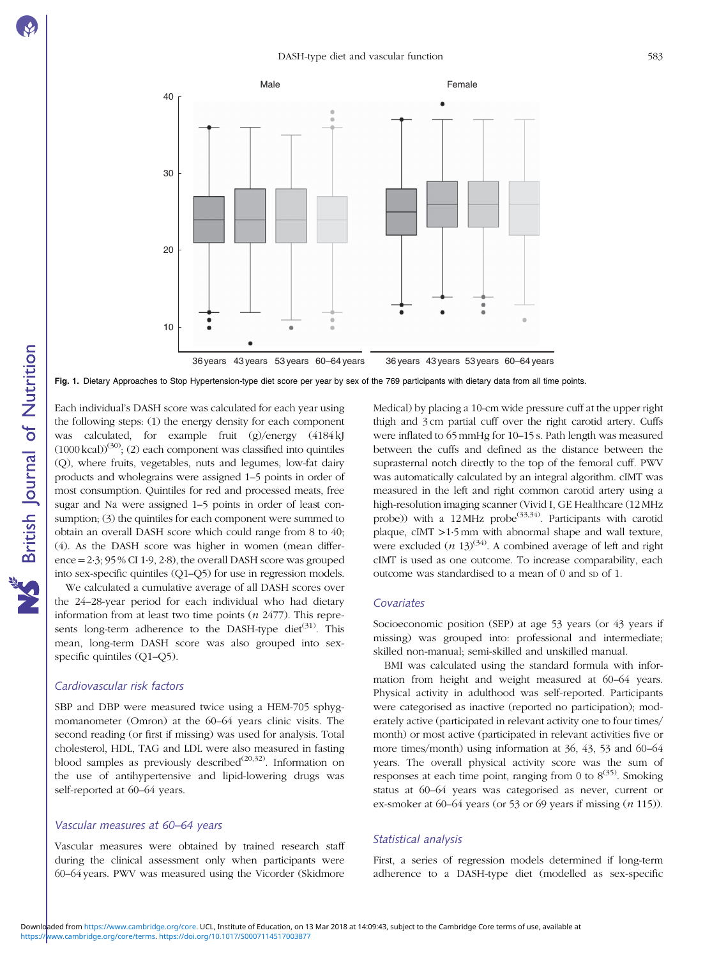NS British Journal of Nutrition

<span id="page-2-0"></span>

Fig. 1. Dietary Approaches to Stop Hypertension-type diet score per year by sex of the 769 participants with dietary data from all time points.

Each individual's DASH score was calculated for each year using the following steps: (1) the energy density for each component was calculated, for example fruit (g)/energy (4184 kJ  $(1000 \text{ kcal}))$ <sup>[\(30\)](#page-8-0)</sup>; (2) each component was classified into quintiles (Q), where fruits, vegetables, nuts and legumes, low-fat dairy products and wholegrains were assigned 1–5 points in order of most consumption. Quintiles for red and processed meats, free sugar and Na were assigned 1–5 points in order of least consumption; (3) the quintiles for each component were summed to obtain an overall DASH score which could range from 8 to 40; (4). As the DASH score was higher in women (mean difference=2·3; 95 % CI 1·9, 2·8), the overall DASH score was grouped into sex-specific quintiles (Q1–Q5) for use in regression models.

We calculated a cumulative average of all DASH scores over the 24–28-year period for each individual who had dietary information from at least two time points  $(n 2477)$ . This repre-sents long-term adherence to the DASH-type diet<sup>([31](#page-8-0))</sup>. This mean, long-term DASH score was also grouped into sexspecific quintiles (Q1–Q5).

# Cardiovascular risk factors

SBP and DBP were measured twice using a HEM-705 sphygmomanometer (Omron) at the 60–64 years clinic visits. The second reading (or first if missing) was used for analysis. Total cholesterol, HDL, TAG and LDL were also measured in fasting blood samples as previously described<sup>[\(20](#page-8-0),[32](#page-8-0))</sup>. Information on the use of antihypertensive and lipid-lowering drugs was self-reported at 60–64 years.

### Vascular measures at 60–64 years

Vascular measures were obtained by trained research staff during the clinical assessment only when participants were 60–64 years. PWV was measured using the Vicorder (Skidmore

Medical) by placing a 10-cm wide pressure cuff at the upper right thigh and 3 cm partial cuff over the right carotid artery. Cuffs were inflated to 65 mmHg for 10–15 s. Path length was measured between the cuffs and defined as the distance between the suprasternal notch directly to the top of the femoral cuff. PWV was automatically calculated by an integral algorithm. cIMT was measured in the left and right common carotid artery using a high-resolution imaging scanner (Vivid I, GE Healthcare (12 MHz probe)) with a  $12 \text{ MHz}$  probe<sup>([33](#page-8-0),[34](#page-8-0))</sup>. Participants with carotid plaque, cIMT >1·5 mm with abnormal shape and wall texture, were excluded  $(n 13)^{(34)}$  $(n 13)^{(34)}$  $(n 13)^{(34)}$ . A combined average of left and right cIMT is used as one outcome. To increase comparability, each outcome was standardised to a mean of 0 and SD of 1.

# **Covariates**

Socioeconomic position (SEP) at age 53 years (or 43 years if missing) was grouped into: professional and intermediate; skilled non-manual; semi-skilled and unskilled manual.

BMI was calculated using the standard formula with information from height and weight measured at 60–64 years. Physical activity in adulthood was self-reported. Participants were categorised as inactive (reported no participation); moderately active (participated in relevant activity one to four times/ month) or most active (participated in relevant activities five or more times/month) using information at 36, 43, 53 and 60–64 years. The overall physical activity score was the sum of responses at each time point, ranging from 0 to  $8^{(35)}$  $8^{(35)}$  $8^{(35)}$ . Smoking status at 60–64 years was categorised as never, current or ex-smoker at  $60-64$  years (or 53 or 69 years if missing  $(n 115)$ ).

### Statistical analysis

First, a series of regression models determined if long-term adherence to a DASH-type diet (modelled as sex-specific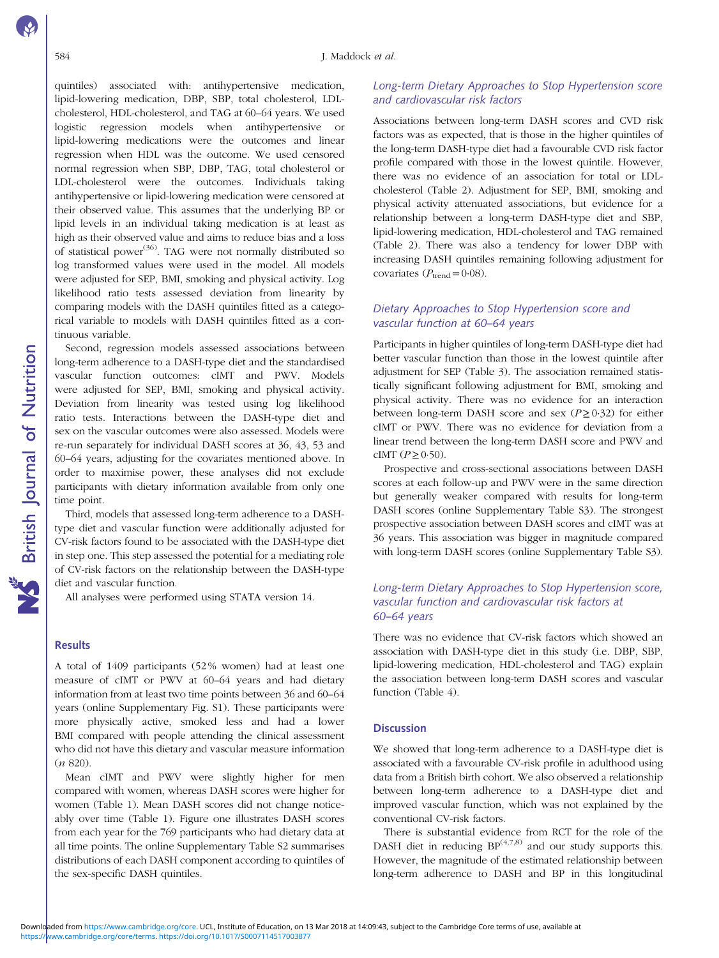quintiles) associated with: antihypertensive medication, lipid-lowering medication, DBP, SBP, total cholesterol, LDLcholesterol, HDL-cholesterol, and TAG at 60–64 years. We used logistic regression models when antihypertensive or lipid-lowering medications were the outcomes and linear regression when HDL was the outcome. We used censored normal regression when SBP, DBP, TAG, total cholesterol or LDL-cholesterol were the outcomes. Individuals taking antihypertensive or lipid-lowering medication were censored at their observed value. This assumes that the underlying BP or lipid levels in an individual taking medication is at least as high as their observed value and aims to reduce bias and a loss of statistical power<sup>([36\)](#page-8-0)</sup>. TAG were not normally distributed so log transformed values were used in the model. All models were adjusted for SEP, BMI, smoking and physical activity. Log likelihood ratio tests assessed deviation from linearity by comparing models with the DASH quintiles fitted as a categorical variable to models with DASH quintiles fitted as a continuous variable.

Second, regression models assessed associations between long-term adherence to a DASH-type diet and the standardised vascular function outcomes: cIMT and PWV. Models were adjusted for SEP, BMI, smoking and physical activity. Deviation from linearity was tested using log likelihood ratio tests. Interactions between the DASH-type diet and sex on the vascular outcomes were also assessed. Models were re-run separately for individual DASH scores at 36, 43, 53 and 60–64 years, adjusting for the covariates mentioned above. In order to maximise power, these analyses did not exclude participants with dietary information available from only one time point.

Third, models that assessed long-term adherence to a DASHtype diet and vascular function were additionally adjusted for CV-risk factors found to be associated with the DASH-type diet in step one. This step assessed the potential for a mediating role of CV-risk factors on the relationship between the DASH-type diet and vascular function.

All analyses were performed using STATA version 14.

# **Results**

NS British Journal of Nutrition

A total of 1409 participants (52 % women) had at least one measure of cIMT or PWV at 60–64 years and had dietary information from at least two time points between 36 and 60–64 years (online Supplementary Fig. S1). These participants were more physically active, smoked less and had a lower BMI compared with people attending the clinical assessment who did not have this dietary and vascular measure information (n 820).

Mean cIMT and PWV were slightly higher for men compared with women, whereas DASH scores were higher for women ([Table 1\)](#page-4-0). Mean DASH scores did not change noticeably over time ([Table 1](#page-4-0)). Figure one illustrates DASH scores from each year for the 769 participants who had dietary data at all time points. The online Supplementary Table S2 summarises distributions of each DASH component according to quintiles of the sex-specific DASH quintiles.

# Long-term Dietary Approaches to Stop Hypertension score and cardiovascular risk factors

Associations between long-term DASH scores and CVD risk factors was as expected, that is those in the higher quintiles of the long-term DASH-type diet had a favourable CVD risk factor profile compared with those in the lowest quintile. However, there was no evidence of an association for total or LDLcholesterol ([Table 2](#page-5-0)). Adjustment for SEP, BMI, smoking and physical activity attenuated associations, but evidence for a relationship between a long-term DASH-type diet and SBP, lipid-lowering medication, HDL-cholesterol and TAG remained [\(Table 2\)](#page-5-0). There was also a tendency for lower DBP with increasing DASH quintiles remaining following adjustment for covariates  $(P_{\text{trend}} = 0.08)$ .

# Dietary Approaches to Stop Hypertension score and vascular function at 60–64 years

Participants in higher quintiles of long-term DASH-type diet had better vascular function than those in the lowest quintile after adjustment for SEP ([Table 3\)](#page-6-0). The association remained statistically significant following adjustment for BMI, smoking and physical activity. There was no evidence for an interaction between long-term DASH score and sex ( $P \ge 0.32$ ) for either cIMT or PWV. There was no evidence for deviation from a linear trend between the long-term DASH score and PWV and cIMT ( $P$ ≥0·50).

Prospective and cross-sectional associations between DASH scores at each follow-up and PWV were in the same direction but generally weaker compared with results for long-term DASH scores (online Supplementary Table S3). The strongest prospective association between DASH scores and cIMT was at 36 years. This association was bigger in magnitude compared with long-term DASH scores (online Supplementary Table S3).

# Long-term Dietary Approaches to Stop Hypertension score, vascular function and cardiovascular risk factors at 60–64 years

There was no evidence that CV-risk factors which showed an association with DASH-type diet in this study (i.e. DBP, SBP, lipid-lowering medication, HDL-cholesterol and TAG) explain the association between long-term DASH scores and vascular function ([Table 4](#page-6-0)).

### **Discussion**

We showed that long-term adherence to a DASH-type diet is associated with a favourable CV-risk profile in adulthood using data from a British birth cohort. We also observed a relationship between long-term adherence to a DASH-type diet and improved vascular function, which was not explained by the conventional CV-risk factors.

There is substantial evidence from RCT for the role of the DASH diet in reducing  $BP^{(4,7,8)}$  $BP^{(4,7,8)}$  $BP^{(4,7,8)}$  $BP^{(4,7,8)}$  and our study supports this. However, the magnitude of the estimated relationship between long-term adherence to DASH and BP in this longitudinal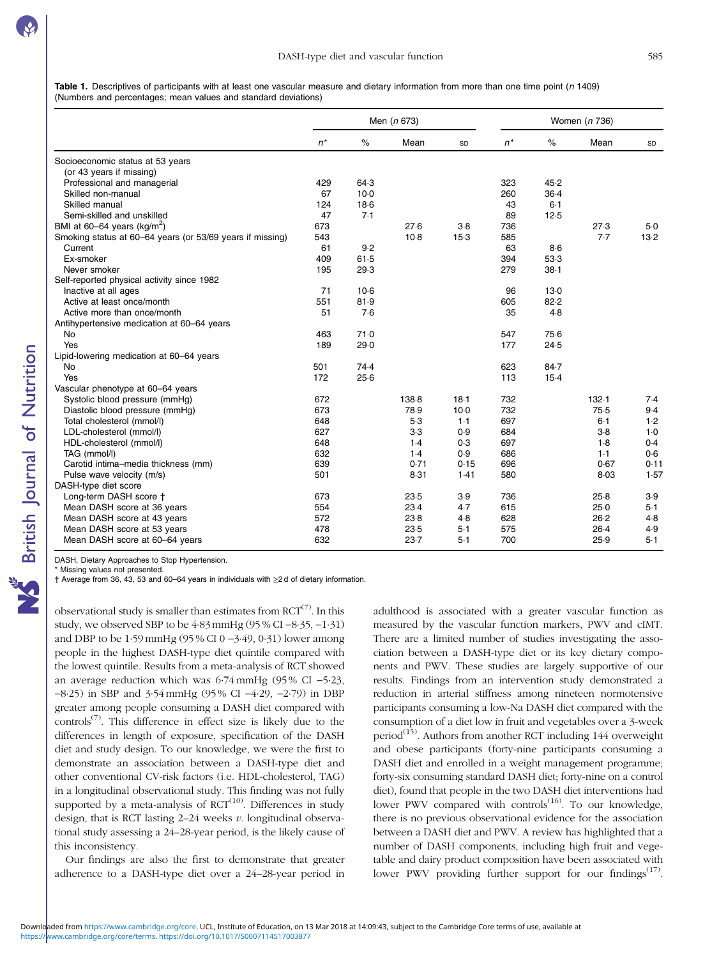**NS** British Journal of Nutrition

<span id="page-4-0"></span>Table 1. Descriptives of participants with at least one vascular measure and dietary information from more than one time point (n 1409) (Numbers and percentages; mean values and standard deviations)

|                                                           | Men (n 673) |        |        | Women (n 736) |       |          |        |       |
|-----------------------------------------------------------|-------------|--------|--------|---------------|-------|----------|--------|-------|
|                                                           | $n^*$       | $\%$   | Mean   | SD            | $n^*$ | $\%$     | Mean   | SD    |
| Socioeconomic status at 53 years                          |             |        |        |               |       |          |        |       |
| (or 43 years if missing)                                  |             |        |        |               |       |          |        |       |
| Professional and managerial                               | 429         | 64.3   |        |               | 323   | 45.2     |        |       |
| Skilled non-manual                                        | 67          | $10-0$ |        |               | 260   | $36-4$   |        |       |
| Skilled manual                                            | 124         | $18-6$ |        |               | 43    | $6 - 1$  |        |       |
| Semi-skilled and unskilled                                | 47          | 7.1    |        |               | 89    | 12.5     |        |       |
| BMI at $60-64$ years (kg/m <sup>2</sup> )                 | 673         |        | 27.6   | $3-8$         | 736   |          | 27.3   | $5-0$ |
| Smoking status at 60-64 years (or 53/69 years if missing) | 543         |        | $10-8$ | $15-3$        | 585   |          | 7.7    | 13.2  |
| Current                                                   | 61          | 9.2    |        |               | 63    | $8-6$    |        |       |
| Ex-smoker                                                 | 409         | 61.5   |        |               | 394   | 53.3     |        |       |
| Never smoker                                              | 195         | 29.3   |        |               | 279   | $38 - 1$ |        |       |
| Self-reported physical activity since 1982                |             |        |        |               |       |          |        |       |
| Inactive at all ages                                      | 71          | $10-6$ |        |               | 96    | 13.0     |        |       |
| Active at least once/month                                | 551         | 81.9   |        |               | 605   | 82.2     |        |       |
| Active more than once/month                               | 51          | 7.6    |        |               | 35    | 4.8      |        |       |
| Antihypertensive medication at 60–64 years                |             |        |        |               |       |          |        |       |
| No                                                        | 463         | 71.0   |        |               | 547   | 75.6     |        |       |
| Yes                                                       | 189         | 29.0   |        |               | 177   | 24.5     |        |       |
| Lipid-lowering medication at 60-64 years                  |             |        |        |               |       |          |        |       |
| No                                                        | 501         | 74.4   |        |               | 623   | $84 - 7$ |        |       |
| Yes                                                       | 172         | $25-6$ |        |               | 113   | $15-4$   |        |       |
| Vascular phenotype at 60-64 years                         |             |        |        |               |       |          |        |       |
| Systolic blood pressure (mmHg)                            | 672         |        | 138-8  | $18-1$        | 732   |          | 132-1  | 7.4   |
| Diastolic blood pressure (mmHq)                           | 673         |        | 78.9   | $10-0$        | 732   |          | 75.5   | 9.4   |
| Total cholesterol (mmol/l)                                | 648         |        | $5-3$  | $1-1$         | 697   |          | 6.1    | 1.2   |
| LDL-cholesterol (mmol/l)                                  | 627         |        | $3-3$  | 0.9           | 684   |          | $3-8$  | $1-0$ |
| HDL-cholesterol (mmol/l)                                  | 648         |        | $1-4$  | 0.3           | 697   |          | $1-8$  | 0.4   |
| TAG (mmol/l)                                              | 632         |        | $1-4$  | 0.9           | 686   |          | $1-1$  | 0.6   |
| Carotid intima-media thickness (mm)                       | 639         |        | 0.71   | 0.15          | 696   |          | 0.67   | 0.11  |
| Pulse wave velocity (m/s)                                 | 501         |        | 8.31   | 1.41          | 580   |          | 8.03   | 1.57  |
| DASH-type diet score                                      |             |        |        |               |       |          |        |       |
| Long-term DASH score +                                    | 673         |        | 23.5   | 3.9           | 736   |          | 25.8   | 3.9   |
| Mean DASH score at 36 years                               | 554         |        | 23.4   | 4.7           | 615   |          | 25.0   | 5.1   |
| Mean DASH score at 43 years                               | 572         |        | 23.8   | 4.8           | 628   |          | 26.2   | 4.8   |
| Mean DASH score at 53 years                               | 478         |        | 23.5   | $5-1$         | 575   |          | $26-4$ | 4.9   |
| Mean DASH score at 60-64 years                            | 632         |        | $23-7$ | $5-1$         | 700   |          | 25.9   | $5-1$ |

DASH, Dietary Approaches to Stop Hypertension.

\* Missing values not presented.

† Average from 36, 43, 53 and 60–64 years in individuals with ≥2 d of dietary information.

observational study is smaller than estimates from  $\mathrm{RCT}^{(7)}$  $\mathrm{RCT}^{(7)}$  $\mathrm{RCT}^{(7)}$ . In this study, we observed SBP to be 4·83 mmHg (95 % CI −8·35, −1·31) and DBP to be 1·59 mmHg (95 % CI 0 −3·49, 0·31) lower among people in the highest DASH-type diet quintile compared with the lowest quintile. Results from a meta-analysis of RCT showed an average reduction which was 6·74 mmHg (95 % CI −5·23, −8·25) in SBP and 3·54 mmHg (95 % CI −4·29, −2·79) in DBP greater among people consuming a DASH diet compared with controls<sup>([7](#page-8-0))</sup>. This difference in effect size is likely due to the differences in length of exposure, specification of the DASH diet and study design. To our knowledge, we were the first to demonstrate an association between a DASH-type diet and other conventional CV-risk factors (i.e. HDL-cholesterol, TAG) in a longitudinal observational study. This finding was not fully supported by a meta-analysis of  $RCT^{(10)}$  $RCT^{(10)}$  $RCT^{(10)}$ . Differences in study design, that is RCT lasting  $2-24$  weeks  $v$ . longitudinal observational study assessing a 24–28-year period, is the likely cause of this inconsistency.

Our findings are also the first to demonstrate that greater adherence to a DASH-type diet over a 24–28-year period in

adulthood is associated with a greater vascular function as measured by the vascular function markers, PWV and cIMT. There are a limited number of studies investigating the association between a DASH-type diet or its key dietary components and PWV. These studies are largely supportive of our results. Findings from an intervention study demonstrated a reduction in arterial stiffness among nineteen normotensive participants consuming a low-Na DASH diet compared with the consumption of a diet low in fruit and vegetables over a 3-week period<sup>[\(15](#page-8-0))</sup>. Authors from another RCT including 144 overweight and obese participants (forty-nine participants consuming a DASH diet and enrolled in a weight management programme; forty-six consuming standard DASH diet; forty-nine on a control diet), found that people in the two DASH diet interventions had lower PWV compared with controls<sup>[\(16\)](#page-8-0)</sup>. To our knowledge, there is no previous observational evidence for the association between a DASH diet and PWV. A review has highlighted that a number of DASH components, including high fruit and vegetable and dairy product composition have been associated with lower PWV providing further support for our findings<sup> $(17)$ </sup>.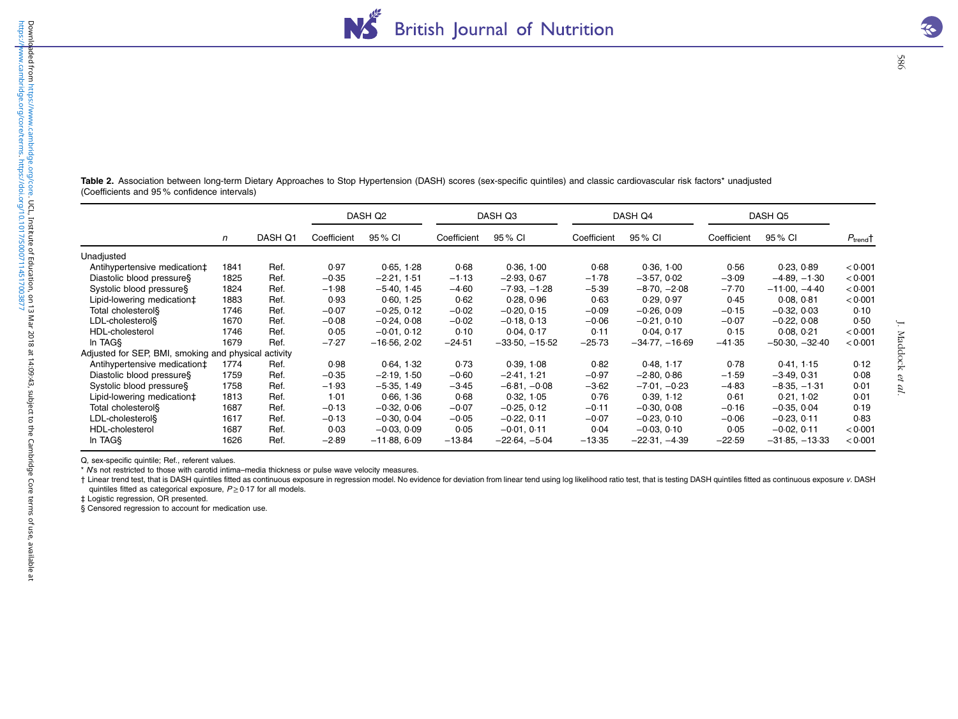<span id="page-5-0"></span>Table 2. Association between long-term Dietary Approaches to Stop Hypertension (DASH) scores (sex-specific quintiles) and classic cardiovascular risk factors\* unadjusted (Coefficients and 95 % confidence intervals)

|                                                      |      |         | DASH Q2     |                | DASH Q3     |                  | DASH Q4     |                  | DASH Q5     |                  |                    |
|------------------------------------------------------|------|---------|-------------|----------------|-------------|------------------|-------------|------------------|-------------|------------------|--------------------|
|                                                      | n    | DASH Q1 | Coefficient | 95 % CI        | Coefficient | 95 % CI          | Coefficient | 95 % CI          | Coefficient | 95% CI           | $P_{\text{trend}}$ |
| Unadjusted                                           |      |         |             |                |             |                  |             |                  |             |                  |                    |
| Antihypertensive medication#                         | 1841 | Ref.    | 0.97        | 0.65, 1.28     | 0.68        | 0.36, 1.00       | 0.68        | 0.36, 1.00       | 0.56        | 0.23, 0.89       | < 0.001            |
| Diastolic blood pressures                            | 1825 | Ref.    | $-0.35$     | $-2.21, 1.51$  | $-1.13$     | $-2.93, 0.67$    | $-1.78$     | $-3.57, 0.02$    | $-3.09$     | $-4.89, -1.30$   | < 0.001            |
| Systolic blood pressures                             | 1824 | Ref.    | $-1.98$     | $-5.40, 1.45$  | $-4.60$     | $-7.93, -1.28$   | $-5.39$     | $-8.70, -2.08$   | $-7.70$     | $-11.00, -4.40$  | < 0.001            |
| Lipid-lowering medication‡                           | 1883 | Ref.    | 0.93        | 0.60, 1.25     | 0.62        | 0.28, 0.96       | 0.63        | 0.29, 0.97       | 0.45        | 0.08, 0.81       | < 0.001            |
| Total cholesterol§                                   | 1746 | Ref.    | $-0.07$     | $-0.25, 0.12$  | $-0.02$     | $-0.20, 0.15$    | $-0.09$     | $-0.26.0.09$     | $-0.15$     | $-0.32, 0.03$    | 0.10               |
| LDL-cholesterol§                                     | 1670 | Ref.    | $-0.08$     | $-0.24, 0.08$  | $-0.02$     | $-0.18, 0.13$    | $-0.06$     | $-0.21, 0.10$    | $-0.07$     | $-0.22, 0.08$    | 0.50               |
| HDL-cholesterol                                      | 1746 | Ref.    | 0.05        | $-0.01, 0.12$  | 0.10        | 0.04, 0.17       | 0.11        | 0.04, 0.17       | 0.15        | 0.08, 0.21       | < 0.001            |
| In TAG <sub>§</sub>                                  | 1679 | Ref.    | $-7.27$     | $-16.56, 2.02$ | $-24.51$    | $-33.50, -15.52$ | $-25.73$    | $-34.77, -16.69$ | $-41.35$    | $-50.30, -32.40$ | < 0.001            |
| Adjusted for SEP, BMI, smoking and physical activity |      |         |             |                |             |                  |             |                  |             |                  |                    |
| Antihypertensive medication‡                         | 1774 | Ref.    | 0.98        | 0.64, 1.32     | 0.73        | 0.39, 1.08       | 0.82        | 0.48, 1.17       | 0.78        | 0.41, 1.15       | 0.12               |
| Diastolic blood pressure§                            | 1759 | Ref.    | $-0.35$     | $-2.19, 1.50$  | $-0.60$     | $-2.41, 1.21$    | $-0.97$     | $-2.80, 0.86$    | $-1.59$     | $-3.49, 0.31$    | 0.08               |
| Systolic blood pressures                             | 1758 | Ref.    | $-1.93$     | $-5.35, 1.49$  | $-3.45$     | $-6.81, -0.08$   | $-3.62$     | $-7.01, -0.23$   | $-4.83$     | $-8.35, -1.31$   | 0.01               |
| Lipid-lowering medication‡                           | 1813 | Ref.    | 1.01        | 0.66, 1.36     | 0.68        | 0.32, 1.05       | 0.76        | 0.39, 1.12       | 0.61        | 0.21, 1.02       | 0.01               |
| Total cholesterol§                                   | 1687 | Ref.    | $-0.13$     | $-0.32, 0.06$  | $-0.07$     | $-0.25, 0.12$    | $-0.11$     | $-0.30, 0.08$    | $-0.16$     | $-0.35, 0.04$    | 0.19               |
| LDL-cholesterol§                                     | 1617 | Ref.    | $-0.13$     | $-0.30, 0.04$  | $-0.05$     | $-0.22, 0.11$    | $-0.07$     | $-0.23, 0.10$    | $-0.06$     | $-0.23, 0.11$    | 0.83               |
| HDL-cholesterol                                      | 1687 | Ref.    | 0.03        | $-0.03, 0.09$  | 0.05        | $-0.01, 0.11$    | 0.04        | $-0.03, 0.10$    | 0.05        | $-0.02, 0.11$    | < 0.001            |
| In TAGS                                              | 1626 | Ref.    | $-2.89$     | $-11.88, 6.09$ | $-13.84$    | $-22.64, -5.04$  | $-13.35$    | $-22.31, -4.39$  | $-22.59$    | $-31.85, -13.33$ | < 0.001            |

Q, sex-specific quintile; Ref., referent values.

\* N'<sup>s</sup> not restricted to those with carotid intima–media thickness or pulse wave velocity measures.

+ Linear trend test, that is DASH quintiles fitted as continuous exposure in regression model. No evidence for deviation from linear tend using log likelihood ratio test, that is testing DASH quintiles fitted as continuous quintiles fitted as categorical exposure,  $P \ge 0.17$  for all models.

‡ Logistic regression, OR presented.

§ Censored regression to account for medication use.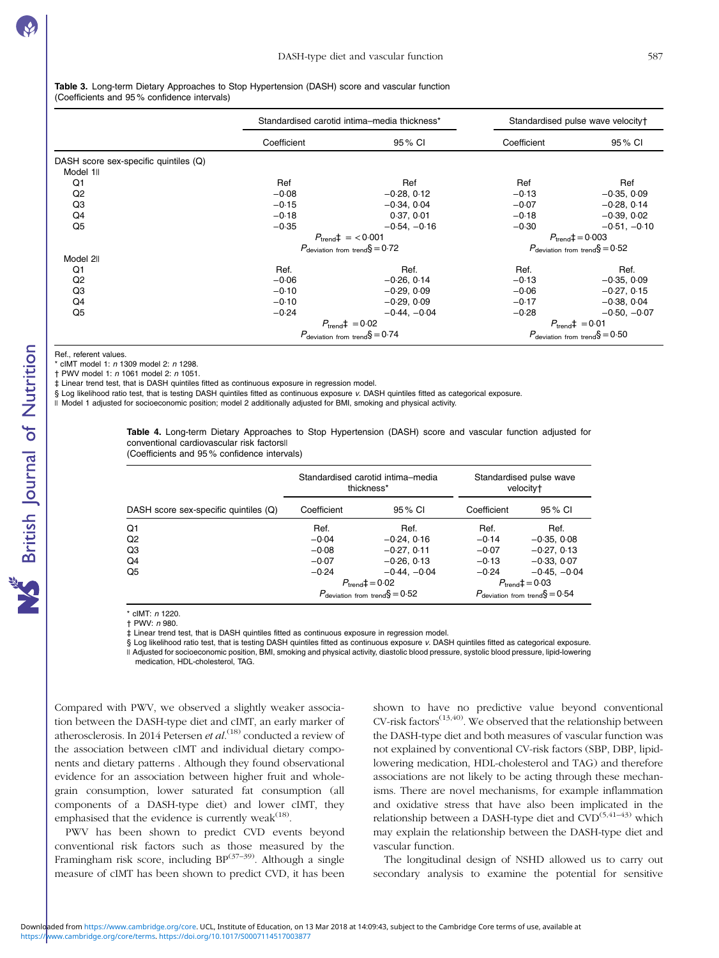<span id="page-6-0"></span>Table 3. Long-term Dietary Approaches to Stop Hypertension (DASH) score and vascular function (Coefficients and 95 % confidence intervals)

|                                                    |                                             | Standardised carotid intima–media thickness* | Standardised pulse wave velocityt           |                |  |
|----------------------------------------------------|---------------------------------------------|----------------------------------------------|---------------------------------------------|----------------|--|
|                                                    | Coefficient                                 | 95 % CI                                      | Coefficient                                 | 95 % CI        |  |
| DASH score sex-specific quintiles (Q)<br>Model 1II |                                             |                                              |                                             |                |  |
| Q1                                                 | Ref                                         | Ref                                          | Ref                                         | Ref            |  |
| Q <sub>2</sub>                                     | $-0.08$                                     | $-0.28, 0.12$                                | $-0.13$                                     | $-0.35, 0.09$  |  |
| Q3                                                 | $-0.15$                                     | $-0.34, 0.04$                                | $-0.07$                                     | $-0.28, 0.14$  |  |
| Q4                                                 | $-0.18$                                     | 0.37, 0.01                                   | $-0.18$                                     | $-0.39, 0.02$  |  |
| Q5                                                 | $-0.35$                                     | $-0.54. -0.16$                               | $-0.30$                                     | $-0.51, -0.10$ |  |
|                                                    |                                             | $P_{\text{trend}}$ = < 0.001                 | $P_{\text{trend}}$ = 0.003                  |                |  |
|                                                    | $P_{\text{deviation from trend}}$ \$ = 0.72 |                                              | $P_{\text{deviation from trend}}$ \$ = 0.52 |                |  |
| Model 2II                                          |                                             |                                              |                                             |                |  |
| Q1                                                 | Ref.                                        | Ref.                                         | Ref.                                        | Ref.           |  |
| Q <sub>2</sub>                                     | $-0.06$                                     | $-0.26, 0.14$                                | $-0.13$                                     | $-0.35, 0.09$  |  |
| Q3                                                 | $-0.10$                                     | $-0.29.0.09$                                 | $-0.06$                                     | $-0.27, 0.15$  |  |
| Q4                                                 | $-0.10$                                     | $-0.29, 0.09$                                | $-0.17$                                     | $-0.38, 0.04$  |  |
| Q5                                                 | $-0.24$                                     | $-0.44$ . $-0.04$                            | $-0.28$                                     | $-0.50, -0.07$ |  |
|                                                    |                                             | $P_{\text{trend}}$ = 0.02                    | $P_{\text{trend}}$ = 0.01                   |                |  |
|                                                    | $P_{\text{deviation from trend}}$ \$ = 0.74 |                                              | $P_{\text{deviation from trend}}$ \$ = 0.50 |                |  |

Ref., referent values.

cIMT model 1: n 1309 model 2: n 1298.

† PWV model 1: n 1061 model 2: n 1051.

‡ Linear trend test, that is DASH quintiles fitted as continuous exposure in regression model.

§ Log likelihood ratio test, that is testing DASH quintiles fitted as continuous exposure v. DASH quintiles fitted as categorical exposure.

|| Model 1 adjusted for socioeconomic position; model 2 additionally adjusted for BMI, smoking and physical activity.

Table 4. Long-term Dietary Approaches to Stop Hypertension (DASH) score and vascular function adjusted for conventional cardiovascular risk factorsll (Coefficients and 95 % confidence intervals)

|                                       |                                             | Standardised carotid intima-media<br>thickness* | Standardised pulse wave<br>velocity <sup>+</sup> |                |  |
|---------------------------------------|---------------------------------------------|-------------------------------------------------|--------------------------------------------------|----------------|--|
| DASH score sex-specific quintiles (Q) | Coefficient                                 | 95 % CI                                         | Coefficient                                      | 95 % CI        |  |
| Q1                                    | Ref.                                        | Ref.                                            | Ref.                                             | Ref.           |  |
| Q2                                    | $-0.04$                                     | $-0.24.0.16$                                    | $-0.14$                                          | $-0.35, 0.08$  |  |
| Q3                                    | $-0.08$                                     | $-0.27.0.11$                                    | $-0.07$                                          | $-0.27.0.13$   |  |
| Q4                                    | $-0.07$                                     | $-0.26, 0.13$                                   | $-0.13$                                          | $-0.33, 0.07$  |  |
| Q5                                    | $-0.24$                                     | $-0.44$ , $-0.04$                               | $-0.24$                                          | $-0.45, -0.04$ |  |
|                                       | $P_{\text{trend}} = 0.02$                   |                                                 | $P_{\text{trend}} = 0.03$                        |                |  |
|                                       | $P_{\text{deviation from trend}}$ \$ = 0.52 |                                                 | $P_{\text{deviation from trend}}$ \$ = 0.54      |                |  |

cIMT:  $n$  1220.

† PWV: n 980.

‡ Linear trend test, that is DASH quintiles fitted as continuous exposure in regression model.

§ Log likelihood ratio test, that is testing DASH quintiles fitted as continuous exposure v. DASH quintiles fitted as categorical exposure. || Adjusted for socioeconomic position, BMI, smoking and physical activity, diastolic blood pressure, systolic blood pressure, lipid-lowering

medication, HDL-cholesterol, TAG.

Compared with PWV, we observed a slightly weaker association between the DASH-type diet and cIMT, an early marker of atherosclerosis. In 2014 Petersen *et al.*  $^{(18)}$  $^{(18)}$  $^{(18)}$  conducted a review of the association between cIMT and individual dietary components and dietary patterns . Although they found observational evidence for an association between higher fruit and wholegrain consumption, lower saturated fat consumption (all components of a DASH-type diet) and lower cIMT, they emphasised that the evidence is currently weak $^{(18)}$  $^{(18)}$  $^{(18)}$ .

PWV has been shown to predict CVD events beyond conventional risk factors such as those measured by the Framingham risk score, including  $BP^{(37-39)}$  $BP^{(37-39)}$  $BP^{(37-39)}$  $BP^{(37-39)}$  $BP^{(37-39)}$ . Although a single measure of cIMT has been shown to predict CVD, it has been

shown to have no predictive value beyond conventional CV-risk factors<sup>[\(13](#page-8-0),[40](#page-8-0))</sup>. We observed that the relationship between the DASH-type diet and both measures of vascular function was not explained by conventional CV-risk factors (SBP, DBP, lipidlowering medication, HDL-cholesterol and TAG) and therefore associations are not likely to be acting through these mechanisms. There are novel mechanisms, for example inflammation and oxidative stress that have also been implicated in the relationship between a DASH-type diet and CVD<sup>[\(5](#page-7-0)[,41](#page-8-0)-[43\)](#page-8-0)</sup> which may explain the relationship between the DASH-type diet and vascular function.

The longitudinal design of NSHD allowed us to carry out secondary analysis to examine the potential for sensitive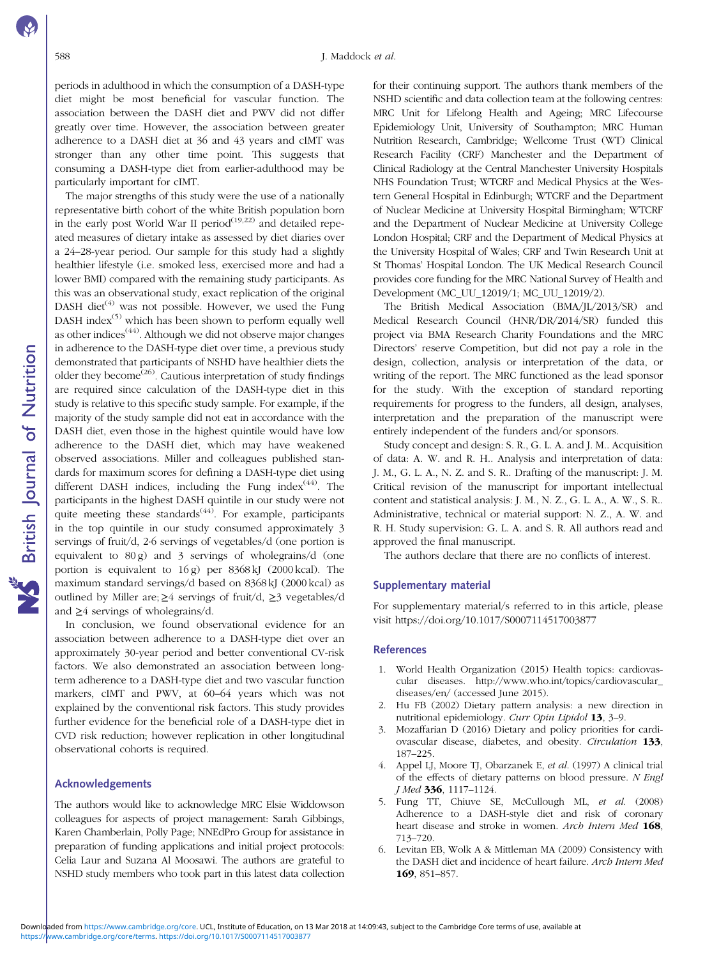<span id="page-7-0"></span>periods in adulthood in which the consumption of a DASH-type diet might be most beneficial for vascular function. The association between the DASH diet and PWV did not differ greatly over time. However, the association between greater adherence to a DASH diet at 36 and 43 years and cIMT was stronger than any other time point. This suggests that consuming a DASH-type diet from earlier-adulthood may be particularly important for cIMT.

The major strengths of this study were the use of a nationally representative birth cohort of the white British population born in the early post World War II period<sup> $(19,22)$  $(19,22)$ </sup> and detailed repeated measures of dietary intake as assessed by diet diaries over a 24–28-year period. Our sample for this study had a slightly healthier lifestyle (i.e. smoked less, exercised more and had a lower BMI) compared with the remaining study participants. As this was an observational study, exact replication of the original DASH diet<sup>(4)</sup> was not possible. However, we used the Fung DASH index<sup>(5)</sup> which has been shown to perform equally well as other indices<sup> $(44)$ </sup>. Although we did not observe major changes in adherence to the DASH-type diet over time, a previous study demonstrated that participants of NSHD have healthier diets the older they become<sup>[\(26\)](#page-8-0)</sup>. Cautious interpretation of study findings are required since calculation of the DASH-type diet in this study is relative to this specific study sample. For example, if the majority of the study sample did not eat in accordance with the DASH diet, even those in the highest quintile would have low adherence to the DASH diet, which may have weakened observed associations. Miller and colleagues published standards for maximum scores for defining a DASH-type diet using different DASH indices, including the Fung index $(44)$  $(44)$  $(44)$ . The participants in the highest DASH quintile in our study were not quite meeting these standards<sup> $(44)$ </sup>. For example, participants in the top quintile in our study consumed approximately 3 servings of fruit/d, 2·6 servings of vegetables/d (one portion is equivalent to 80 g) and 3 servings of wholegrains/d (one portion is equivalent to 16 g) per 8368 kJ (2000 kcal). The maximum standard servings/d based on 8368 kJ (2000 kcal) as outlined by Miller are;≥4 servings of fruit/d, ≥3 vegetables/d and ≥4 servings of wholegrains/d.

In conclusion, we found observational evidence for an association between adherence to a DASH-type diet over an approximately 30-year period and better conventional CV-risk factors. We also demonstrated an association between longterm adherence to a DASH-type diet and two vascular function markers, cIMT and PWV, at 60–64 years which was not explained by the conventional risk factors. This study provides further evidence for the beneficial role of a DASH-type diet in CVD risk reduction; however replication in other longitudinal observational cohorts is required.

### Acknowledgements

The authors would like to acknowledge MRC Elsie Widdowson colleagues for aspects of project management: Sarah Gibbings, Karen Chamberlain, Polly Page; NNEdPro Group for assistance in preparation of funding applications and initial project protocols: Celia Laur and Suzana Al Moosawi. The authors are grateful to NSHD study members who took part in this latest data collection

for their continuing support. The authors thank members of the NSHD scientific and data collection team at the following centres: MRC Unit for Lifelong Health and Ageing; MRC Lifecourse Epidemiology Unit, University of Southampton; MRC Human Nutrition Research, Cambridge; Wellcome Trust (WT) Clinical Research Facility (CRF) Manchester and the Department of Clinical Radiology at the Central Manchester University Hospitals NHS Foundation Trust; WTCRF and Medical Physics at the Western General Hospital in Edinburgh; WTCRF and the Department of Nuclear Medicine at University Hospital Birmingham; WTCRF and the Department of Nuclear Medicine at University College London Hospital; CRF and the Department of Medical Physics at the University Hospital of Wales; CRF and Twin Research Unit at St Thomas' Hospital London. The UK Medical Research Council provides core funding for the MRC National Survey of Health and Development (MC\_UU\_12019/1; MC\_UU\_12019/2).

The British Medical Association (BMA/JL/2013/SR) and Medical Research Council (HNR/DR/2014/SR) funded this project via BMA Research Charity Foundations and the MRC Directors' reserve Competition, but did not pay a role in the design, collection, analysis or interpretation of the data, or writing of the report. The MRC functioned as the lead sponsor for the study. With the exception of standard reporting requirements for progress to the funders, all design, analyses, interpretation and the preparation of the manuscript were entirely independent of the funders and/or sponsors.

Study concept and design: S. R., G. L. A. and J. M.. Acquisition of data: A. W. and R. H.. Analysis and interpretation of data: J. M., G. L. A., N. Z. and S. R.. Drafting of the manuscript: J. M. Critical revision of the manuscript for important intellectual content and statistical analysis: J. M., N. Z., G. L. A., A. W., S. R.. Administrative, technical or material support: N. Z., A. W. and R. H. Study supervision: G. L. A. and S. R. All authors read and approved the final manuscript.

The authors declare that there are no conflicts of interest.

# Supplementary material

For supplementary material/s referred to in this article, please visit https://doi.org/10.1017/S0007114517003877

### References

- 1. World Health Organization (2015) Health topics: cardiovascular diseases. [http://www.who.int/topics/cardiovascular\\_](http://www.who.int/topics/cardiovascular_diseases/en/) [diseases/en/](http://www.who.int/topics/cardiovascular_diseases/en/) (accessed June 2015).
- 2. Hu FB (2002) Dietary pattern analysis: a new direction in nutritional epidemiology. Curr Opin Lipidol 13, 3–9.
- 3. Mozaffarian D (2016) Dietary and policy priorities for cardiovascular disease, diabetes, and obesity. Circulation 133, 187–225.
- 4. Appel LJ, Moore TJ, Obarzanek E, et al. (1997) A clinical trial of the effects of dietary patterns on blood pressure. N Engl J Med 336, 1117–1124.
- 5. Fung TT, Chiuve SE, McCullough ML, et al. (2008) Adherence to a DASH-style diet and risk of coronary heart disease and stroke in women. Arch Intern Med 168, 713–720.
- 6. Levitan EB, Wolk A & Mittleman MA (2009) Consistency with the DASH diet and incidence of heart failure. Arch Intern Med 169, 851–857.